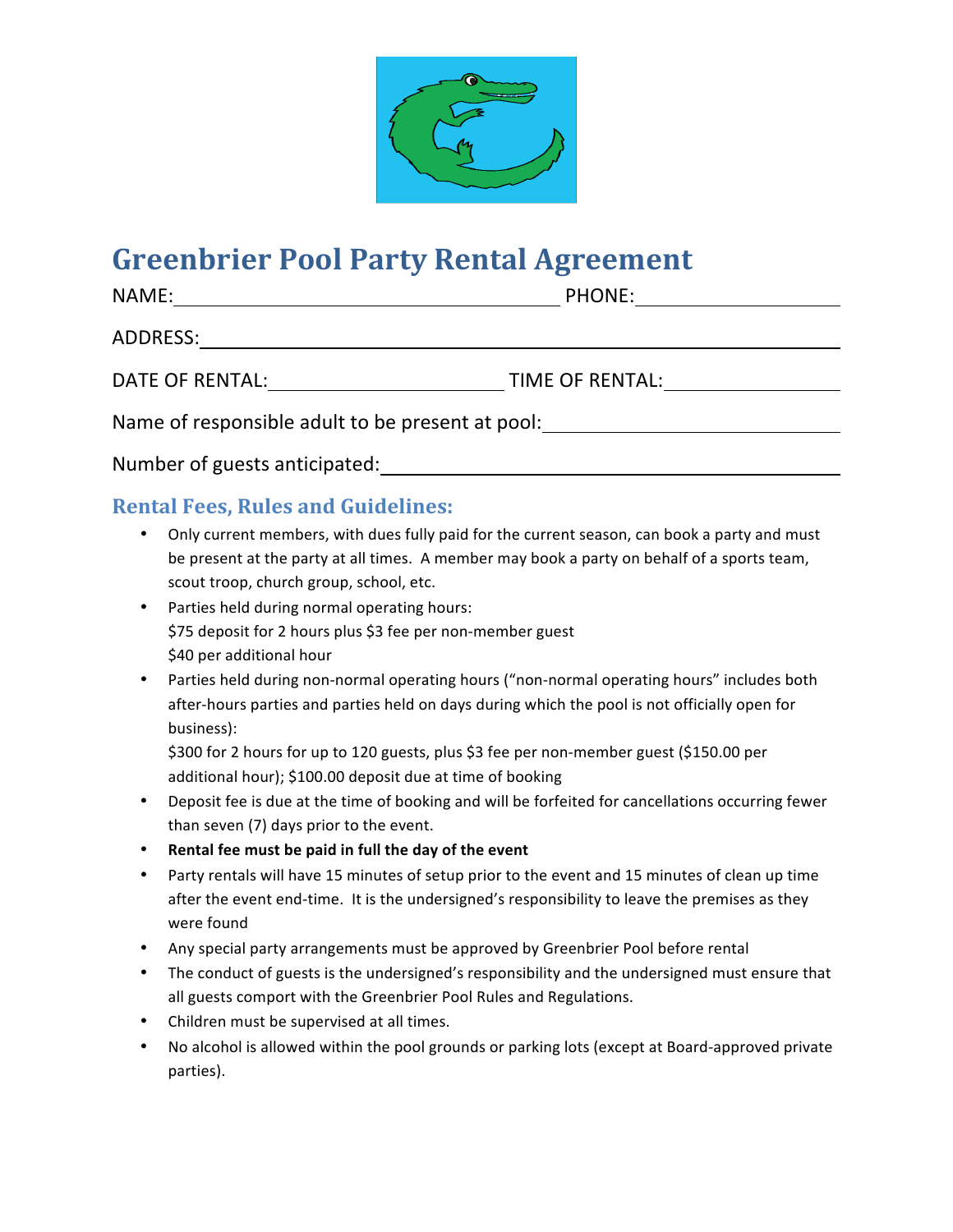

## **Greenbrier Pool Party Rental Agreement**

| NAME:                                            | PHONE:          |  |
|--------------------------------------------------|-----------------|--|
| ADDRESS:                                         |                 |  |
| DATE OF RENTAL:                                  | TIME OF RENTAL: |  |
| Name of responsible adult to be present at pool: |                 |  |
|                                                  |                 |  |

## Number of guests anticipated:

## **Rental Fees, Rules and Guidelines:**

- Only current members, with dues fully paid for the current season, can book a party and must be present at the party at all times. A member may book a party on behalf of a sports team, scout troop, church group, school, etc.
- Parties held during normal operating hours: \$75 deposit for 2 hours plus \$3 fee per non-member guest \$40 per additional hour
- Parties held during non-normal operating hours ("non-normal operating hours" includes both after-hours parties and parties held on days during which the pool is not officially open for business):

\$300 for 2 hours for up to 120 guests, plus \$3 fee per non-member guest (\$150.00 per additional hour); \$100.00 deposit due at time of booking

- Deposit fee is due at the time of booking and will be forfeited for cancellations occurring fewer than seven (7) days prior to the event.
- Rental fee must be paid in full the day of the event
- Party rentals will have 15 minutes of setup prior to the event and 15 minutes of clean up time after the event end-time. It is the undersigned's responsibility to leave the premises as they were found
- Any special party arrangements must be approved by Greenbrier Pool before rental
- The conduct of guests is the undersigned's responsibility and the undersigned must ensure that all guests comport with the Greenbrier Pool Rules and Regulations.
- Children must be supervised at all times.
- No alcohol is allowed within the pool grounds or parking lots (except at Board-approved private parties).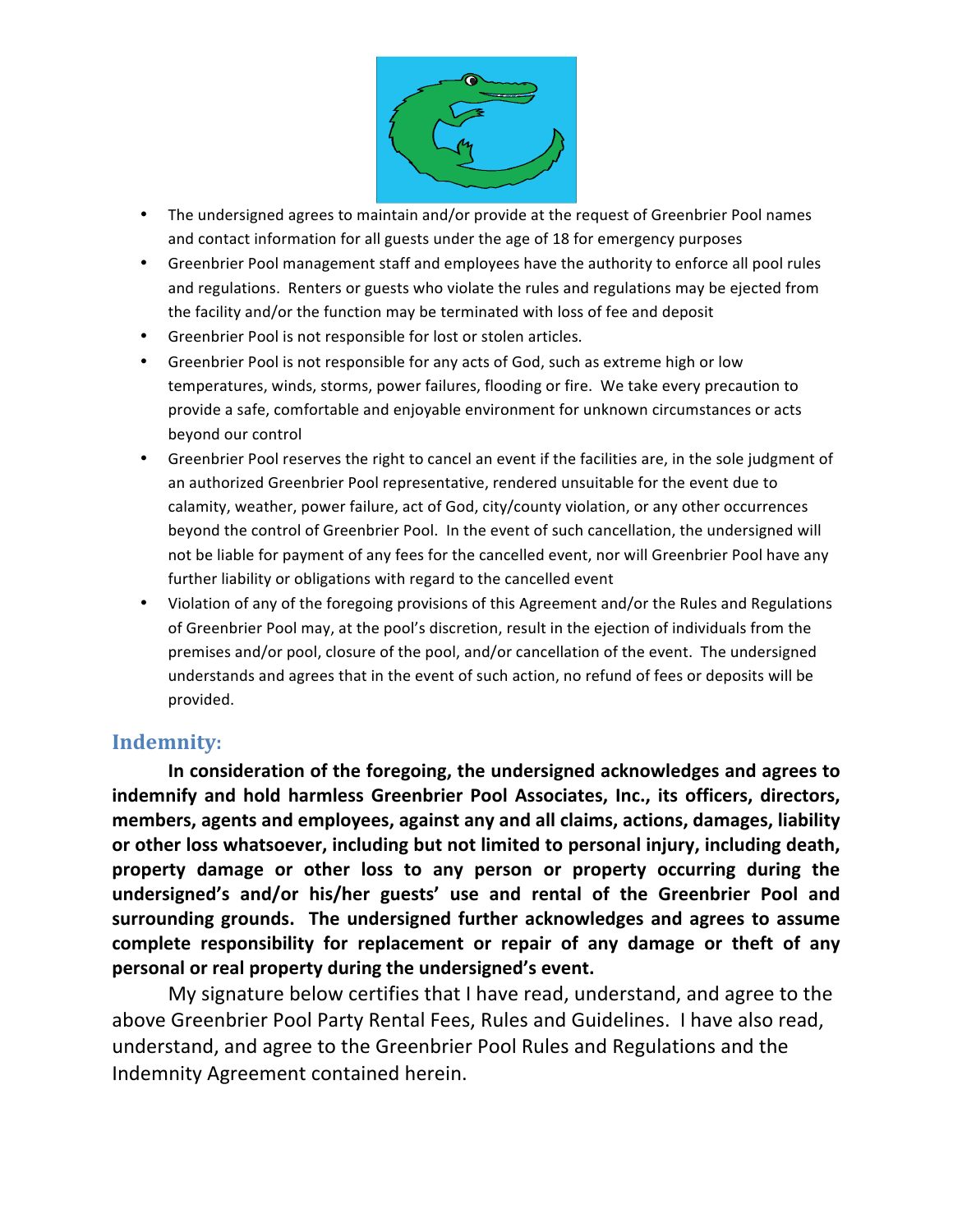

- The undersigned agrees to maintain and/or provide at the request of Greenbrier Pool names and contact information for all guests under the age of 18 for emergency purposes
- Greenbrier Pool management staff and employees have the authority to enforce all pool rules and regulations. Renters or guests who violate the rules and regulations may be ejected from the facility and/or the function may be terminated with loss of fee and deposit
- Greenbrier Pool is not responsible for lost or stolen articles.
- Greenbrier Pool is not responsible for any acts of God, such as extreme high or low temperatures, winds, storms, power failures, flooding or fire. We take every precaution to provide a safe, comfortable and enjoyable environment for unknown circumstances or acts beyond our control
- Greenbrier Pool reserves the right to cancel an event if the facilities are, in the sole judgment of an authorized Greenbrier Pool representative, rendered unsuitable for the event due to calamity, weather, power failure, act of God, city/county violation, or any other occurrences beyond the control of Greenbrier Pool. In the event of such cancellation, the undersigned will not be liable for payment of any fees for the cancelled event, nor will Greenbrier Pool have any further liability or obligations with regard to the cancelled event
- Violation of any of the foregoing provisions of this Agreement and/or the Rules and Regulations of Greenbrier Pool may, at the pool's discretion, result in the ejection of individuals from the premises and/or pool, closure of the pool, and/or cancellation of the event. The undersigned understands and agrees that in the event of such action, no refund of fees or deposits will be provided.

## **Indemnity:**

In consideration of the foregoing, the undersigned acknowledges and agrees to indemnify and hold harmless Greenbrier Pool Associates, Inc., its officers, directors, **members, agents and employees, against any and all claims, actions, damages, liability** or other loss whatsoever, including but not limited to personal injury, including death, property damage or other loss to any person or property occurring during the undersigned's and/or his/her guests' use and rental of the Greenbrier Pool and surrounding grounds. The undersigned further acknowledges and agrees to assume complete responsibility for replacement or repair of any damage or theft of any personal or real property during the undersigned's event.

My signature below certifies that I have read, understand, and agree to the above Greenbrier Pool Party Rental Fees, Rules and Guidelines. I have also read, understand, and agree to the Greenbrier Pool Rules and Regulations and the Indemnity Agreement contained herein.